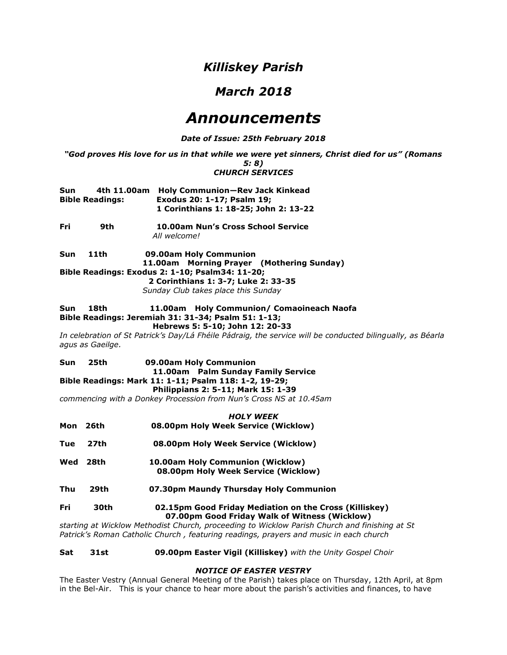# *Killiskey Parish*

# *March 2018*

# *Announcements*

# *Date of Issue: 25th February 2018*

*"God proves His love for us in that while we were yet sinners, Christ died for us" (Romans 5: 8) CHURCH SERVICES*

| Sun                    |  | 4th 11.00am Holy Communion-Rev Jack Kinkead |  |
|------------------------|--|---------------------------------------------|--|
| <b>Bible Readings:</b> |  | Exodus 20: 1-17; Psalm 19;                  |  |
|                        |  | 1 Corinthians 1: 18-25; John 2: 13-22       |  |

**Fri 9th 10.00am Nun's Cross School Service** *All welcome!*

**Sun 11th 09.00am Holy Communion**  **11.00am Morning Prayer (Mothering Sunday) Bible Readings: Exodus 2: 1-10; Psalm34: 11-20;**

> **2 Corinthians 1: 3-7; Luke 2: 33-35**  *Sunday Club takes place this Sunday*

# **Sun 18th 11.00am Holy Communion/ Comaoineach Naofa Bible Readings: Jeremiah 31: 31-34; Psalm 51: 1-13;**

# **Hebrews 5: 5-10; John 12: 20-33**

*In celebration of St Patrick's Day/Lá Fhéile Pádraig, the service will be conducted bilingually, as Béarla agus as Gaeilge.*

#### **Sun 25th 09.00am Holy Communion 11.00am Palm Sunday Family Service Bible Readings: Mark 11: 1-11; Psalm 118: 1-2, 19-29; Philippians 2: 5-11; Mark 15: 1-39**

*commencing with a Donkey Procession from Nun's Cross NS at 10.45am*

|            | <b>HOLY WEEK</b> |                                                                                                         |  |  |
|------------|------------------|---------------------------------------------------------------------------------------------------------|--|--|
| Mon        | 26th             | 08.00pm Holy Week Service (Wicklow)                                                                     |  |  |
| Tue        | 27th             | 08.00pm Holy Week Service (Wicklow)                                                                     |  |  |
| Wed        | 28th             | 10.00am Holy Communion (Wicklow)<br>08.00pm Holy Week Service (Wicklow)                                 |  |  |
| Thu        | 29th             | 07.30pm Maundy Thursday Holy Communion                                                                  |  |  |
| <b>Fri</b> | 30th             | 02.15pm Good Friday Mediation on the Cross (Killiskey)<br>07.00pm Good Friday Walk of Witness (Wicklow) |  |  |

*starting at Wicklow Methodist Church, proceeding to Wicklow Parish Church and finishing at St Patrick's Roman Catholic Church , featuring readings, prayers and music in each church*

#### **Sat 31st 09.00pm Easter Vigil (Killiskey)** *with the Unity Gospel Choir*

# *NOTICE OF EASTER VESTRY*

The Easter Vestry (Annual General Meeting of the Parish) takes place on Thursday, 12th April, at 8pm in the Bel-Air. This is your chance to hear more about the parish's activities and finances, to have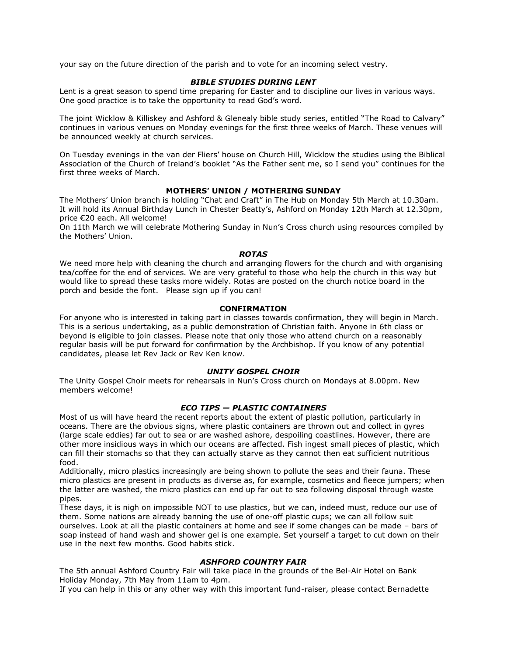your say on the future direction of the parish and to vote for an incoming select vestry.

# *BIBLE STUDIES DURING LENT*

Lent is a great season to spend time preparing for Easter and to discipline our lives in various ways. One good practice is to take the opportunity to read God's word.

The joint Wicklow & Killiskey and Ashford & Glenealy bible study series, entitled "The Road to Calvary" continues in various venues on Monday evenings for the first three weeks of March. These venues will be announced weekly at church services.

On Tuesday evenings in the van der Fliers' house on Church Hill, Wicklow the studies using the Biblical Association of the Church of Ireland's booklet "As the Father sent me, so I send you" continues for the first three weeks of March.

# **MOTHERS' UNION / MOTHERING SUNDAY**

The Mothers' Union branch is holding "Chat and Craft" in The Hub on Monday 5th March at 10.30am. It will hold its Annual Birthday Lunch in Chester Beatty's, Ashford on Monday 12th March at 12.30pm, price €20 each. All welcome!

On 11th March we will celebrate Mothering Sunday in Nun's Cross church using resources compiled by the Mothers' Union.

#### *ROTAS*

We need more help with cleaning the church and arranging flowers for the church and with organising tea/coffee for the end of services. We are very grateful to those who help the church in this way but would like to spread these tasks more widely. Rotas are posted on the church notice board in the porch and beside the font. Please sign up if you can!

#### **CONFIRMATION**

For anyone who is interested in taking part in classes towards confirmation, they will begin in March. This is a serious undertaking, as a public demonstration of Christian faith. Anyone in 6th class or beyond is eligible to join classes. Please note that only those who attend church on a reasonably regular basis will be put forward for confirmation by the Archbishop. If you know of any potential candidates, please let Rev Jack or Rev Ken know.

#### *UNITY GOSPEL CHOIR*

The Unity Gospel Choir meets for rehearsals in Nun's Cross church on Mondays at 8.00pm. New members welcome!

# *ECO TIPS — PLASTIC CONTAINERS*

Most of us will have heard the recent reports about the extent of plastic pollution, particularly in oceans. There are the obvious signs, where plastic containers are thrown out and collect in gyres (large scale eddies) far out to sea or are washed ashore, despoiling coastlines. However, there are other more insidious ways in which our oceans are affected. Fish ingest small pieces of plastic, which can fill their stomachs so that they can actually starve as they cannot then eat sufficient nutritious food.

Additionally, micro plastics increasingly are being shown to pollute the seas and their fauna. These micro plastics are present in products as diverse as, for example, cosmetics and fleece jumpers; when the latter are washed, the micro plastics can end up far out to sea following disposal through waste pipes.

These days, it is nigh on impossible NOT to use plastics, but we can, indeed must, reduce our use of them. Some nations are already banning the use of one-off plastic cups; we can all follow suit ourselves. Look at all the plastic containers at home and see if some changes can be made – bars of soap instead of hand wash and shower gel is one example. Set yourself a target to cut down on their use in the next few months. Good habits stick.

# *ASHFORD COUNTRY FAIR*

The 5th annual Ashford Country Fair will take place in the grounds of the Bel-Air Hotel on Bank Holiday Monday, 7th May from 11am to 4pm.

If you can help in this or any other way with this important fund-raiser, please contact Bernadette